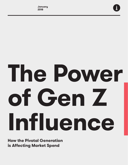

# **The Power of Gen Z Influence**

**How the Pivotal Generation is Affecting Market Spend**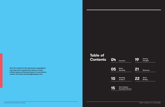NO DISTRIBUTION OR REPRODUCTION WITHOUT PERMISSION.

**Table of Contents**

**All of the material in this document is copyrighted and may not be reproduced in whole or in part without express written permission. For permission, contact Joe Sciara at jsciara@barkleyus.com.**

| OЧ | Foreword                         | 1Y | <b>Closing</b><br><b>Thoughts</b> |
|----|----------------------------------|----|-----------------------------------|
| 05 | <b>Direct</b><br><b>Spending</b> | 21 | <b>Resources</b>                  |
| 10 | <b>Spending</b><br>on Gen Z      | 22 | <b>About</b><br><b>Barkley</b>    |

**15 Gen Z Indirect Spending Influence**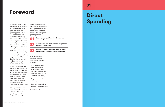**01**

# **Direct Spending**

## **Foreword**

With all the focus on the assurgency of Millennials, less attention has been spent looking at the spending power of Gen Z. And the time that has been spent considering these figures? Well, there's some gray area. It is cited frequently on the internet that Gen Z spends \$44 billion a year on themselves and influence another \$600 billion in spending by others. Unfortunately in most cases, these statistics are presented without: 1) explanation or context or 2) support from the references they cite.

As Gen Z evangelists, we decided it was time to dig deeper. After all, how can brands properly prioritize this pivotal generation if they are unable to fully understand the power these young consumers have when it comes to increasing the bottom line?

This paper outlines our efforts to develop reliable estimates of Gen Z's spending power that marketers can use to

put the influence of this generation in perspective. This paper also explores the spending estimates for three distinct types of spending power:

- To calculate these estimates, we used the following guiding principles:
- Make the estimates based on publically available data from reputable government resources (such as U.S. Census Bureau data).
- Keep the calculations relatively simple.
- State any assumptions made in the calculations.

Let's get started.

**01 Direct Spending: What Gen Z members spend on themselves**

**Spending on Gen Z: What families spend on their Gen Z members 02**

**Indirect Spending Influence: How much of overall family spending Gen Z influences 03**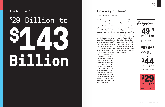#### **How we got there:**

#### **Income Based on Allowance**

The direct spending number scattered most often across the internet is that Gen Z spends \$44 billion on average each year. This is from a Mintel<sup>1</sup> study that used population estimates and average self-reported allowance to calculate the spending potential of kids and teens. Unfortunately, the use of this statistic misrepresents the findings by Mintel. First, Mintel was looking at kids and teens ages 6 to 17, which covers most, but not all, of our Gen Z age range of 7 to 21. Second, the \$44 billion statistic is total estimated earnings for kids and teens in the U.S. using 2012 data and an average allowance at that time of \$16.90. As such, it represents the total potential spend of these kids and teens but, as this group is unlikely to spend 100 percent of its earnings, actual spend is considerably less.

In fact, the same Mintel study also asked kids and teens themselves how much they spend each week and found they spent only 66 percent of their earnings on average. This would make the estimate of actual direct spending for 6- to 17-year-olds at \$29 billion. This number is reported in the Mintel report, but it is not often cited. While useful, it still doesn't include the impact of spending from Gen Zers ages 18 to 21.

# \$ Billion to **\$143 Billion**

#### **The Number:**

#### *figure 1.1*  **Mintel Kids And Teens Spending Calculations**

*Total Population 6-17 (Based on 2012 Population Estimates)*





*Average Annual Earnings from Allowance (\$16.90 x 52)*



*Total Annual Earnings*

 $\downarrow$ 



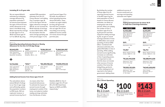#### **Including 18- to 21-year-olds**

We can expand Mintel's estimates by multiplying average allowance by population estimates if we assume those between the ages of 18 and 21 have similar allowances to the teens in the Mintel study. Mintel reported the average for kids ages 6 to 11 as \$8.53 and those ages 12 to 17 as \$25.26. By using

updated 2016 population estimates from the U.S. Census Bureau<sup>2</sup> and adding Gen Z members ages 18 to 21 to this figure with the higher allowance average of \$25.26, we can increase the Mintel estimate of earnings to about \$64.5 billion. With the assumption that the same average spending rate of 64 percent (ages 7 to 11)

and 67 percent (ages 12 to 21) holds, the estimate of actual spending becomes almost \$43 billion. These numbers are again helpful, but they still ignore the fact that Gen Z members who are ages 18 to 21 are more likely to be earning additional income outside of in-home chores through part-time jobs.

#### *figure 1.2*

#### **Expanding Spending Estimates Based on Weekly Allowance for the Gen Z (7-21) Age Range**

#### **Adding Earned Income from those ages 16 to 21**

The calculations above extend Mintel's findings to our Gen Z age range and sufficiently update the population numbers to 2016 levels. Still not captured, however, is earned income by Gen Z

| 20,642,870<br>Total Population<br>7-11 (Based on 2016<br>Population Estimates) |  | \$443.56                                                             |  | \$9,156,351,417          |  | \$5,860,064,907                               |
|--------------------------------------------------------------------------------|--|----------------------------------------------------------------------|--|--------------------------|--|-----------------------------------------------|
|                                                                                |  | Average Annual<br>Earnings from<br>Allowance $(S8.53 \times 52)$     |  | Total Annual<br>Earnings |  | Total Annual<br>Spending<br>(64% of Earnings) |
| 42,146,066                                                                     |  | \$1313. <sup>52</sup>                                                |  | \$55,359,700,612         |  | \$37,090,999,410                              |
| Total population<br>12-21 (Based on<br>2016 Population<br>Estimates)           |  | Average Annual<br>Earnings from<br>Allowance<br>$(S25.26 \times 52)$ |  | Total Annual<br>Earnings |  | Total Annual<br>Spending<br>(67% of Earnings) |

via means other than household allowances. To estimate the impact of earned income through employment outside of the home, we looked at median weekly earnings estimates from the Bureau of Labor

Statistics (BLS) for Gen Z members ages 16 to 19 and 20 to 24. BLS listed these figures as \$405 and \$514, respectively.3

*Total Population 20-21 (Based on 2016 Population Estimates)*

 $\downarrow$ 

*Median Weekly Earned Income (\$514.25 x 52)*

 $\downarrow$ 

*Total Annual Spending (67% of Earnings)*



*Employment Rate*

 $\downarrow$ 

*Additional Total Annual Earnings*

#### $\downarrow$

#### **8,673,075**

#### **\$26,741**

#### **\$40,401,630,892**

#### **26%**

*Total Population 16-19 (Based on 2016 Population Estimates)*

*Median Weekly Earned Income (\$404.75 x 52)*

 $\downarrow$ 

*Additional Total Annual Spending (64% of Earnings)*

*Employment Rate*

 $\downarrow$ 

J

*Additional Total Annual Earnings*

J

#### **16,933,008**

#### **\$21,047**

#### **\$59,303,132,824**

#### **26%**

#### **\$92,661,145,038 \$60,300,941,630**

#### *figure 1.3*

**Adding Earned Income for those 16-21 to Total Gen Z Earnings Estimates**

#### *figure 1.4*  **Gen Z Direct Spending**

*Gen Z Earnings from Allowance (based on Mintel estimates)*



*Gen Z Earned Income (based* 

*on BLS data)*



By dividing the number

#### of those ages 16 to 24 reporting earned income in the BLS report by the total population of Gen Z based on Census Bureau estimates, we obtain an employment rate of 26 percent. When we multiply the number of Gen Z members ages 16 to 21 by 26 percent and their respective weekly earnings by 52, we get an overall earnings estimate of close to \$153 billion and overall spending of almost \$100 billion. Combined with allowance estimates, this yields \$143 billion in Gen Z spending. While adding earned income significantly increases our estimates of Gen Z spending power, it is important to note that this does not include other sources of income outside of the home like babysitting, yardwork, or other employment not reported to the federal government. Adding these

additional sources of income would push our earnings and spending estimates even higher.

#### *Ages 16-19 Ages 20-21*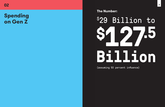# **Spending on Gen Z**

**S29** 

# 29 Billion to **\$127.5 Billion**

**The Number:**

(assuming 50 percent influence)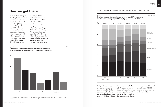#### *figure 2.1*

**Expenditure shares on a child from birth through age 17 as a percentage of total child-rearing expenditures\*, 2015**

*\*U.S. average for the younger child in middle-income, married-couple families with two children. Child care and education expenses only for families with expense.*



#### Figure 2.2 from the report shows average spending by child for same age range.

To calculate spending on Gen Z by family members, we looked at data from the U.S. Department of Agriculture (USDA) average household expenditure report.4 The USDA looks at average household expenses in the context of food expenses, but in doing so, also looks at other areas of essential household spending. This 2017 report shows

an average of how much families spend on children based on 2015 data. Figure 2.1 from the report shows that, on average, seven percent of household spending on children from birth to age 17 is for "miscellaneous expenditures," which the USDA defines as "spending not part of other categories (e.g., entertainment, personal care items, etc.)."

#### *figure 2.2*

#### **Total expenses and expenditure shares on a child (as a percentage of total child-rearing expenditures), by age of a child\*, 2015**



Taking a simple average of the total expenses for children ages 6 to 17 (the closest approximation to our target Gen Z age range) gives us \$13,115 per child as

the average spend in the U.S. If we assume that the division of expenditures and average spend amount is similar for those ages 18 to 21, we can estimate that, on

average, household spend is approximately \$58 billion on miscellaneous expenses for each Gen Z child.

*Source: USDA*

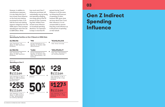NO DISTRIBUTION OR REPRODUCTION WITHOUT PERMISSION.



However, in addition to miscellaneous expenses, it is also likely that Gen Z has at least some influence on the food and clothing purchased for them. If we add the food and clothing expense categories from the USDA report, that increases spending per each Gen Zer to \$255 billion. While

how much each Gen Z influences purchases will undoubtedly vary by family and spending category, one study reports that 93 percent of Gen Z parents say their children have at least some influence on household spending decisions.<sup>5</sup> It's important to keep in mind that 93

percent having "some" influence is not the same as influencing 93 percent of spending on them, however! Still, given what we know about Gen Z and their influence, it is not unreasonable to assume that they could influence up to 50 percent of spending on their behalf.

#### *figure 2.3*  **Spending by Families on Gen Z Based on USDA Data**

*Total Population 7-21 (Based on 2016 Population Estimates)*

*Average Expenditures by Total Annual Earnings Families on Children 2015 (Miscellaneous)*

*Total Population 7-21 (Based on 2016 Population Estimates)*

*Total Food, Miscellaneous, and Clothing Spending*

*Average Expenditures by Families on Children 2015 (Food, Miscellaneous, and Clothing)*

#### **62,788,936**

#### **62,788,936**

#### **\$918**

#### **\$4,066**

**\$57,640,243,248**

#### **\$255,299,813,77**

### **03**

## **Gen Z Indirect Spending Influence**

#### *figure 2.4*  **Spending on Gen Z**

*Total Spending on Gen Z (Based on USDA Estimates of Miscelleneous Spending Only)*

*Total Spending on Gen Z (Based on USDA Estimates of Food, Miscellaneous, and Clothing Spending)*



**\$58** Billion



**\$255** Billion

*Influence*

*Influence*



*Total Spending on Gen Z Influenced by Gen Z (High Estimate)*

**\$29**

Billion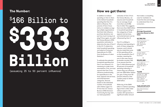In addition to indirect spending on Gen Z, there is the indirect household spending that Gen Z is able to influence. The parents of Gen Z have told us in multiple surveys by multiple organizations that their kids influence purchase decisions, but just how much money is at play? Once again, we used the Census Bureau's 2016 population estimates to determine the size of Gen Z in the U.S. To determine total household spending, we looked at Consumer Expenditures for 2016 from the Bureau of Labor Statistics.<sup>6</sup>

#### **How we got there:**

To estimate the potential household spending that Gen Z can influence, it's necessary to make some assumptions. First, we must assume that Gen Z has influence predominately for expenditures in the food, apparel and services, and entertainment categories. Second, based on the estimated number of households with children ages 6 to 17 from the U.S. Census Bureau's 2016 American Community Survey<sup>7</sup> and our total population

# \$ 166 Billion to **\$333 Billion**

estimates of Gen Z from the Census Bureau, we assume each household has an average of just more than one (1.125) Gen Z child. This suggests that more than \$665 billion in household spending in the categories of food, apparel and services,

and entertainment can be influenced by Gen Z. Gen Z is unlikely to influence total spending in each of these categories, however, and it should also be noted that some of this spending will be on the household's Gen Z member, meaning the sum in this case cannot be double counted. Still, if we assume that the Gen Z child influences just 25 percent of household spending indirectly, it means they can influence just over \$166 billion dollars per year. If they have 50 percent influence, that number jumps to almost \$333 billion. While shy of the \$600 billion in indirect spending

figure that is often cited without support, this number still represents a significant dollar amount

that makes a compelling case for marketers to invest the time and energy to understand Gen Z as consumers.

#### **The Number:**

#### (assuming 25 to 50 percent influence)

#### *figure 3.1*

#### **Average Household Expenses Based on BLS Data**

*Total Population 7-21 (Based on 2016 Population Estimates)*

#### $\mathbf{L}$

*Total 2016 U.S. Households With at Least One Gen Z Child*

#### $\downarrow$

*Total Miscellaneous Spending*

*Average Number of Gen Z per U.S. Household*

#### $\downarrow$

*Average U.S. 2016 Annual Household Expenditures on Food, Apparel and Services, and Entertainment*

#### $\downarrow$

#### **62,788,936**

#### **55,812,388**

#### **\$665,227,872,572**

#### **1.125**

#### **\$11,919**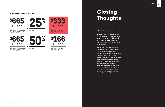# **Closing Thoughts**

#### **Where do we go from here?**

While this paper is already chockfull of numbers, it's important for us to add one more: By 2020, Gen Z will represent **40 percent** of *all* consumers. And it will be here faster than you think.

The future of the market is in this generation's hands. Considering their sheer size and influence, whether direct or indirect, marketers cannot afford to ignore these empowered young consumers. Their peak formative years are already here, and brands should act now as Gen Zers build their brand preferences and continue to hone their market behaviors – which, as we've proven, impact consumer spending across all generations.

**<sup>19</sup> Closing Thoughts**

*Total Spending Influenceable by Gen Z (based on BLS Consumer* 

*Expenditure data)*





*figure 3.2*  **Gen Z Indirect Spending Influence** 



*Influence Total Indirect Spending Influenced by Gen Z (Low estimate)*

 $\equiv$ 

**\$166**

Billion

*Total Spending Influenceable by Gen Z (based on BLS Consumer Expenditure data)*





*Influenced by Gen Z (Low estimate)*

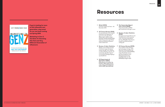**If you're looking for more on this influential next generation, stay tuned for our new book coming out Spring 2018:** 

*Marketing to Gen Z: The Rules for Reaching This Vast and Very Different Generation of Influencers*

### **Resources**

#### JEFF FROMM/ANGIE READ



THE RULES FOR REACHING THIS VAST AND VERY DIFFERENT GENERATION OF INFLUENCERS

- 1 Mintel (2013). Activities of Kids and Teens - US - November 2013.
- 2 US Census Bureau (2016). Annual estimates of the resident population by single year of age and sex for the United States: April 1, 2010 to July 1, 2016 (NC-EST2016-AGESEX-RES). https://www.census.gov/data/ datasets/2016/demo/popest/ nation-detail.html
- 3 Bureau of Labor Statistics. Median usual weekly earnings of full-time wage and salary workers by age, race, Hispanic or Latino ethnicity, and sex, not seasonally adjusted. https:// www.bls.gov/webapps/legacy/ cpswktab3.htm
- 4 US Department of Agriculture (2017). Expenditures on Children by Families, 2015. (https://www. cnpp.usda.gov/sites/default/ files/crc2015\_March2017.pdf

#### 5 The Cassandra Report Gen Z Issue (2015).

https://cassandra.co/2015/ gen-z/welcome-to-the-gen-z-issue

#### 6 Bureau of Labor Statistics (2016).

Average annual expenditures and characteristics of all consumer units, Consumer Expenditure Survey, 2013-2016. https://www. bls.gov/cex/2016/standard/ multiyr.pdf

#### US Census Bureau (2015).

Own Children Under 18 Years by Family Type and Age. 2016 American Community Survey 1-Year Estimates (Table B09002). https://factfinder.census. gov/faces/tableservices/ jsf/pages/productview. xhtml?pid=ACS\_16\_1YR\_ B09002&prodType=table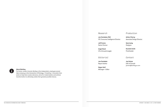#### **About Barkley**

For brave, modern brands, Barkley is the independent, employee-owned idea company at the intersection of Strategy + Creativity + Innovation that exists to help them create relevance, strive for modernization and achieve transformation to ultimately realize their greatest possible futures.

#### *Research*

#### **Joe Cardador, PhD**  VP, Consumer Intelligence Director

**Jeff Fromm** Senior Partner

**Angie Read** VP of Growth Insight

#### *Editorial*

**Joe Cardador**  Report Author

**Skyler Huff** Manager + Editor

#### *Production*

**Arthur Cherry**  Associate Design Director

**Sara Leuty** Designer

**Danielle Smith**  Proofreader

#### *Contact*

**Joe Sciara**  EVP of Growth jsciara@barkleyus.com